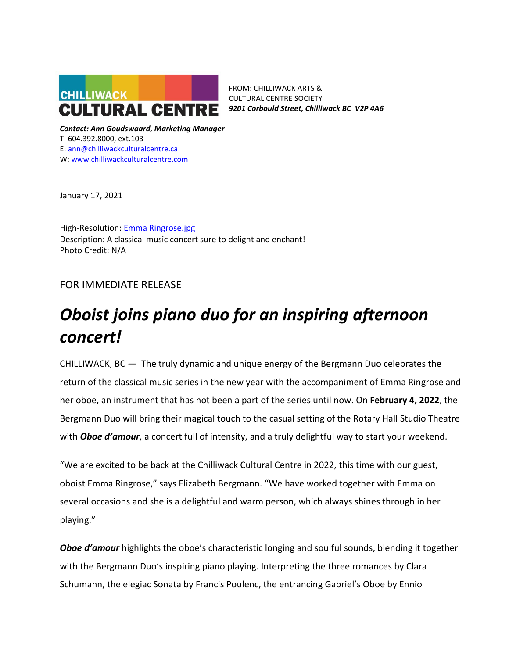

FROM: CHILLIWACK ARTS & CULTURAL CENTRE SOCIETY *9201 Corbould Street, Chilliwack BC V2P 4A6*

*Contact: Ann Goudswaard, Marketing Manager* T: 604.392.8000, ext.103 E: [ann@chilliwackculturalcentre.ca](mailto:ann@chilliwackculturalcentre.ca) W: [www.chilliwackculturalcentre.com](http://www.chilliwackculturalcentre.com/)

January 17, 2021

High-Resolution: [Emma Ringrose.jpg](https://www.chilliwackculturalcentre.ca/wordpress/wp-content/uploads/2022/01/201112_emma_141-Edit-2.jpg) Description: A classical music concert sure to delight and enchant! Photo Credit: N/A

# FOR IMMEDIATE RELEASE

# *Oboist joins piano duo for an inspiring afternoon concert!*

CHILLIWACK, BC — The truly dynamic and unique energy of the Bergmann Duo celebrates the return of the classical music series in the new year with the accompaniment of Emma Ringrose and her oboe, an instrument that has not been a part of the series until now. On **February 4, 2022**, the Bergmann Duo will bring their magical touch to the casual setting of the Rotary Hall Studio Theatre with *Oboe d'amour*, a concert full of intensity, and a truly delightful way to start your weekend.

"We are excited to be back at the Chilliwack Cultural Centre in 2022, this time with our guest, oboist Emma Ringrose," says Elizabeth Bergmann. "We have worked together with Emma on several occasions and she is a delightful and warm person, which always shines through in her playing."

**Oboe d'amour** highlights the oboe's characteristic longing and soulful sounds, blending it together with the Bergmann Duo's inspiring piano playing. Interpreting the three romances by Clara Schumann, the elegiac Sonata by Francis Poulenc, the entrancing Gabriel's Oboe by Ennio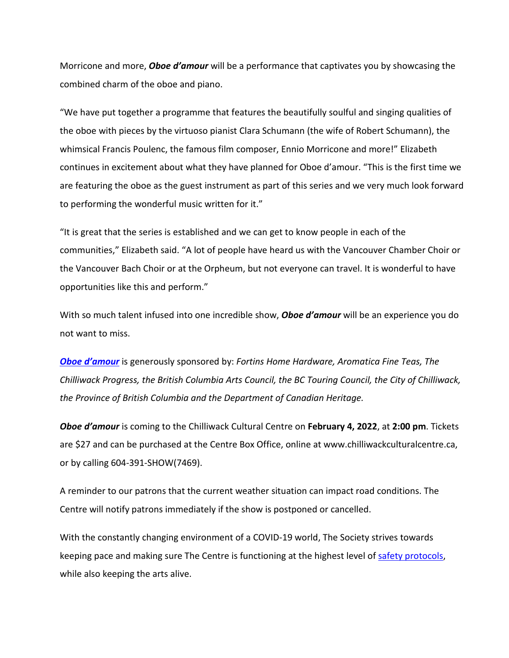Morricone and more, *Oboe d'amour* will be a performance that captivates you by showcasing the combined charm of the oboe and piano.

"We have put together a programme that features the beautifully soulful and singing qualities of the oboe with pieces by the virtuoso pianist Clara Schumann (the wife of Robert Schumann), the whimsical Francis Poulenc, the famous film composer, Ennio Morricone and more!" Elizabeth continues in excitement about what they have planned for Oboe d'amour. "This is the first time we are featuring the oboe as the guest instrument as part of this series and we very much look forward to performing the wonderful music written for it."

"It is great that the series is established and we can get to know people in each of the communities," Elizabeth said. "A lot of people have heard us with the Vancouver Chamber Choir or the Vancouver Bach Choir or at the Orpheum, but not everyone can travel. It is wonderful to have opportunities like this and perform."

With so much talent infused into one incredible show, *Oboe d'amour* will be an experience you do not want to miss.

*[Oboe d'amour](https://www.chilliwackculturalcentre.ca/event/bergmann-duo/#.YeBjBv7MIdU)* is generously sponsored by: *Fortins Home Hardware, Aromatica Fine Teas, The Chilliwack Progress, the British Columbia Arts Council, the BC Touring Council, the City of Chilliwack, the Province of British Columbia and the Department of Canadian Heritage.*

*Oboe d'amour* is coming to the Chilliwack Cultural Centre on **February 4, 2022**, at **2:00 pm**. Tickets are \$27 and can be purchased at the Centre Box Office, online at www.chilliwackculturalcentre.ca, or by calling 604-391-SHOW(7469).

A reminder to our patrons that the current weather situation can impact road conditions. The Centre will notify patrons immediately if the show is postponed or cancelled.

With the constantly changing environment of a COVID-19 world, The Society strives towards keeping pace and making sure The Centre is functioning at the highest level of [safety protocols,](https://www.chilliwackculturalcentre.ca/extras/safety-protocols-stage-3/#.YS6deveSmUk) while also keeping the arts alive.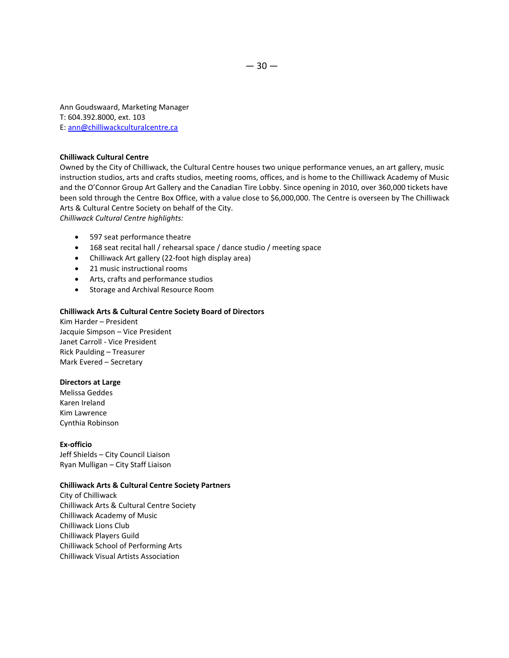Ann Goudswaard, Marketing Manager T: 604.392.8000, ext. 103 E: [ann@chilliwackculturalcentre.ca](mailto:ann@chilliwackculturalcentre.ca)

## **Chilliwack Cultural Centre**

Owned by the City of Chilliwack, the Cultural Centre houses two unique performance venues, an art gallery, music instruction studios, arts and crafts studios, meeting rooms, offices, and is home to the Chilliwack Academy of Music and the O'Connor Group Art Gallery and the Canadian Tire Lobby. Since opening in 2010, over 360,000 tickets have been sold through the Centre Box Office, with a value close to \$6,000,000. The Centre is overseen by The Chilliwack Arts & Cultural Centre Society on behalf of the City. *Chilliwack Cultural Centre highlights:*

- 597 seat performance theatre
- 168 seat recital hall / rehearsal space / dance studio / meeting space
- Chilliwack Art gallery (22-foot high display area)
- 21 music instructional rooms
- Arts, crafts and performance studios
- Storage and Archival Resource Room

#### **Chilliwack Arts & Cultural Centre Society Board of Directors**

Kim Harder – President Jacquie Simpson – Vice President Janet Carroll - Vice President Rick Paulding – Treasurer Mark Evered – Secretary

## **Directors at Large**

Melissa Geddes Karen Ireland Kim Lawrence Cynthia Robinson

#### **Ex-officio**

Jeff Shields – City Council Liaison Ryan Mulligan – City Staff Liaison

#### **Chilliwack Arts & Cultural Centre Society Partners**

City of Chilliwack Chilliwack Arts & Cultural Centre Society Chilliwack Academy of Music Chilliwack Lions Club Chilliwack Players Guild Chilliwack School of Performing Arts Chilliwack Visual Artists Association